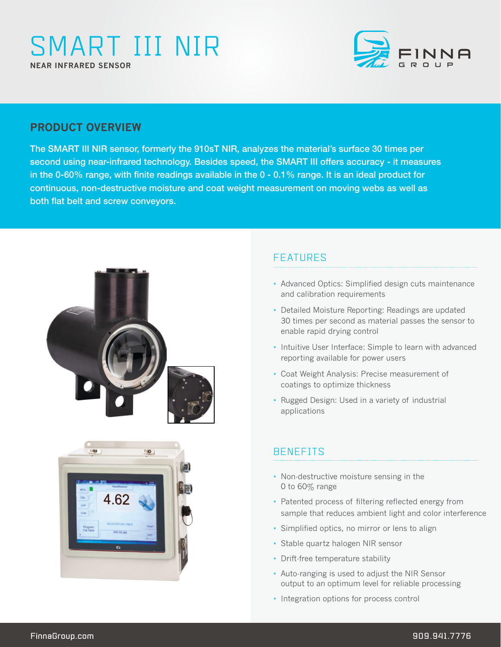# SMART III NIR **NEAR INFRARED SENSOR**



## **PRODUCT OVERVIEW**

The SMART III NIR sensor, formerly the 910sT NIR, analyzes the material's surface 30 times per second using near-infrared technology. Besides speed, the SMART III offers accuracy - it measures in the 0-60% range, with finite readings available in the 0 - 0.1% range. It is an ideal product for continuous, non-destructive moisture and coat weight measurement on moving webs as well as both flat belt and screw conveyors.





# FEATURES

- Advanced Optics: Simplified design cuts maintenance and calibration requirements
- Detailed Moisture Reporting: Readings are updated 30 times per second as material passes the sensor to enable rapid drying control
- Intuitive User Interface: Simple to learn with advanced reporting available for power users
- Coat Weight Analysis: Precise measurement of coatings to optimize thickness
- Rugged Design: Used in a variety of industrial applications

# **BENEFITS**

- Non-destructive moisture sensing in the 0 to 60% range
- Patented process of filtering reflected energy from sample that reduces ambient light and color interference
- Simplified optics, no mirror or lens to align
- Stable quartz halogen NIR sensor
- Drift-free temperature stability
- Auto-ranging is used to adjust the NIR Sensor output to an optimum level for reliable processing
- Integration options for process control